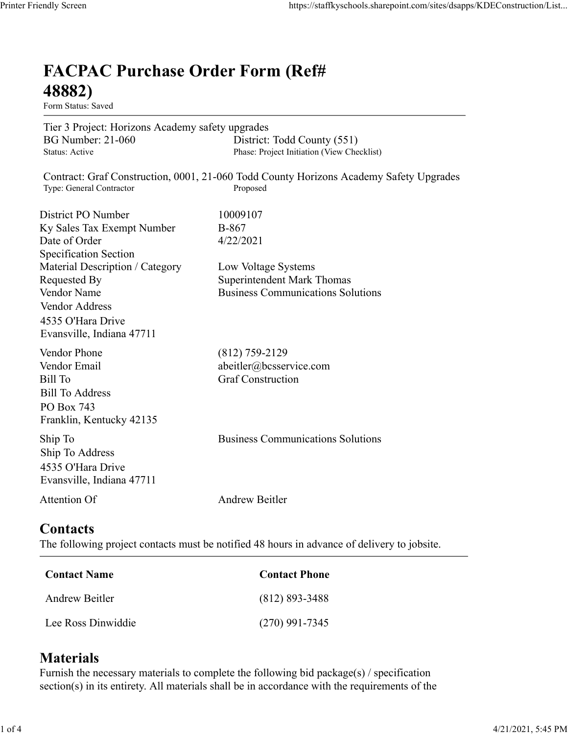## FACPAC Purchase Order Form (Ref# 48882) Mally Screen<br>
EACPAC Purchase Order Form (Ref#<br>
48882)<br>
Form Status: Saved<br>
Tier 3 Project: Horizons Academy safety upgrades<br>
BG Number: 21-060<br>
District: Todd County (551)<br>
Phase: Project Initiation (View Checklist)<br>
Cont mdly Screen<br> **FACPAC Purchase Order Form (Ref#**<br>
18882)<br>
Form Status: Saved<br>
Form Status: Saved<br>
EG Nuncher: 21-060<br>
Big New Checklist)<br>
Big New Checklist<br>
Power: 21-060<br>
Contract: Graf Construction, 0001, 21-060 Todd Coun many Sereen<br>
FACPAC Purchase Order Form (Ref#<br>
FRECPAC Purchase Order Form (Ref#<br>
48882)<br>
Form Status: Saved<br>
Tier 3 Project: Horizons Academy safety upgrades<br>
General Contract: Craf Construction, 0001, 21-060 Todd County mdly Screen<br> **FACPAC Purchase Order Form (Ref#**<br> **FACPAC Purchase Order Form (Ref#**<br> **48882)**<br>
Form Status: Saved<br>
Tier 3 Project: Horizons Academy safety upgrades<br>
Tier 3 Project: Horizons Academy safety upgrades<br>
Distric

Form Status: Saved

Tier 3 Project: Horizons Academy safety upgrades

Contract: Graf Construction, 0001, 21-060 Todd County Horizons Academy Safety Upgrades

mdly Screen<br> **FACPAC Purchase Order Form (Ref#**<br> **FACPAC Purchase Order Form (Ref#**<br> **48882)**<br>
Form Status: Saved<br>
Tier 3 Project: Horizons Academy safety upgrades<br>
Tier 3 Project: Horizons Academy safety upgrades<br>
Bustric mdly Screen<br> **FACPAC Purchase Order Form (Ref#**<br> **FACPAC Purchase Order Form (Ref#**<br> **48882)**<br>
Form Status: Saved<br>
Tier 3 Project: Horizons Academy safety upgrades<br>
District: Todd County (551)<br>
BGN Number<br>
Place: Project I Specification Section **FACPAC Purchase Order Form (Ref#**<br> **48882)**<br>
Form Stans: Saved<br>
Tor 3 Project: Horizons Academy safety upgrades<br>
BG Number: 21-060 District: Todd County (551)<br>
Status: Active Phisse: Project Initiation (New Checklist)<br>
C **FACPAC Purchase Order Form (Ref#**<br> **48882)**<br>
Form Status: Saved<br>
Tier 3 Project: Horizons Academy safety upgrades<br>
Tier 3 Project: Horizons Academy safety upgrades<br>
Busine: Archive By Superior: Total County (551)<br>
Status: **FACPAC Purchase Order Form (Ref#**<br> **48882)**<br>
Form Status: Saved<br>
Tier 3 Project: Horizons Academy safety upgrades<br>
BG Number: 21-060 District: Todd County (551)<br>
Status: Active<br>
Contract: Graf Construction, 0001, 21-060 T Vendor Address 4535 O'Hara Drive Evansville, Indiana 47711 Tier 3 Project: Horizons Academy safety upgrades<br>
BG Number: 21-060 District: Todd County (551)<br>
Status: Acive Phase: Project Initiation (View Checklist)<br>
Contract: Graf Construction, 0001, 21-060 Todd County Horizons Acad Tree 3 Propost: Horrizons Academy sately upgrades<br>
HG Number: 21-060 District: Todd County (551)<br>
Shatus: Aetive Buse: Project Initiation (View Checklist)<br>
Contract: Graf Construction, 0001, 21-060 Todd County Horrizons Ac Bill Number: 21-060<br>
Bill Number<br>
Blase: Project Initiation (View Checkliss)<br>
Contract: Graf Construction, 0001, 21-060 Todd County Horizons Academy Safety Upgrades<br>
Type: General Contractor<br>
District PO Number<br>
District P District PO Number<br>
In Sky Sales Tax Exempt Number<br>
In Secofficial<br>
Specification Section<br>
Secondary Specification Category<br>
Material Description / Category<br>
Low Voltage Systems<br>
Nendor Name<br>
Nendor Name<br>
Vendor Name<br>
Vend Material Description / Category<br>
Requested By<br>
Requested By<br>
Nodor Name<br>
Vendor Name<br>
Vendor Address<br>
Vendor Address<br>
1433 O'Hara Drive<br>
Evansville, Indiana 47711<br>
Vendor Phone<br>
(812) 759-2129<br>
Vendor Phone<br>
(812) 759-2129

## **Contacts**

| $(812)$ 759-2129                                                                            |
|---------------------------------------------------------------------------------------------|
| abeitler@bcsservice.com<br><b>Graf Construction</b>                                         |
|                                                                                             |
|                                                                                             |
|                                                                                             |
| <b>Business Communications Solutions</b>                                                    |
|                                                                                             |
|                                                                                             |
| <b>Andrew Beitler</b>                                                                       |
|                                                                                             |
|                                                                                             |
|                                                                                             |
| The following project contacts must be notified 48 hours in advance of delivery to jobsite. |
| <b>Contact Phone</b>                                                                        |
| $(812) 893 - 3488$                                                                          |
|                                                                                             |

## **Materials**

Furnish the necessary materials to complete the following bid package(s) / specification section(s) in its entirety. All materials shall be in accordance with the requirements of the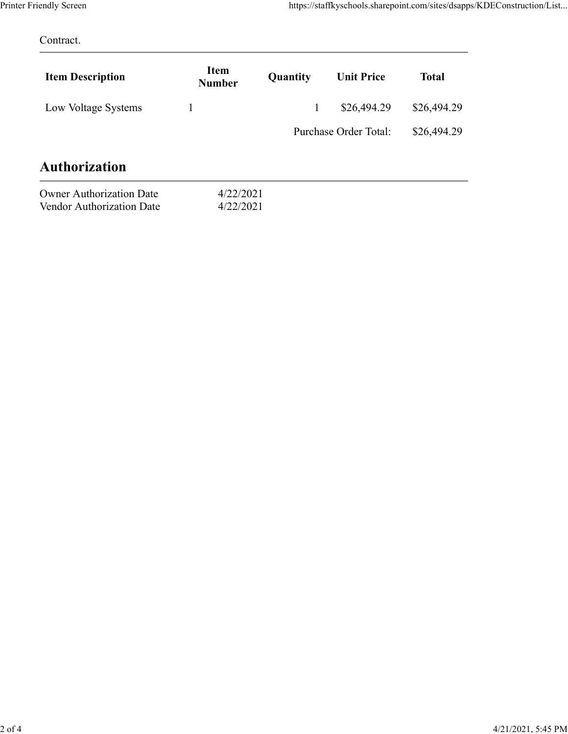| Printer Friendly Screen |                       |              | https://staffkyschools.sharepoint.com/sites/dsapps/KDEConstruction/List |              |  |
|-------------------------|-----------------------|--------------|-------------------------------------------------------------------------|--------------|--|
| Contract.               |                       |              |                                                                         |              |  |
| <b>Item Description</b> | Item<br><b>Number</b> | Quantity     | <b>Unit Price</b>                                                       | <b>Total</b> |  |
| Low Voltage Systems     | $\mathbf{1}$          | $\mathbf{1}$ | \$26,494.29                                                             | \$26,494.29  |  |
|                         |                       |              | Purchase Order Total:                                                   | \$26,494.29  |  |
| Authorization           |                       |              |                                                                         |              |  |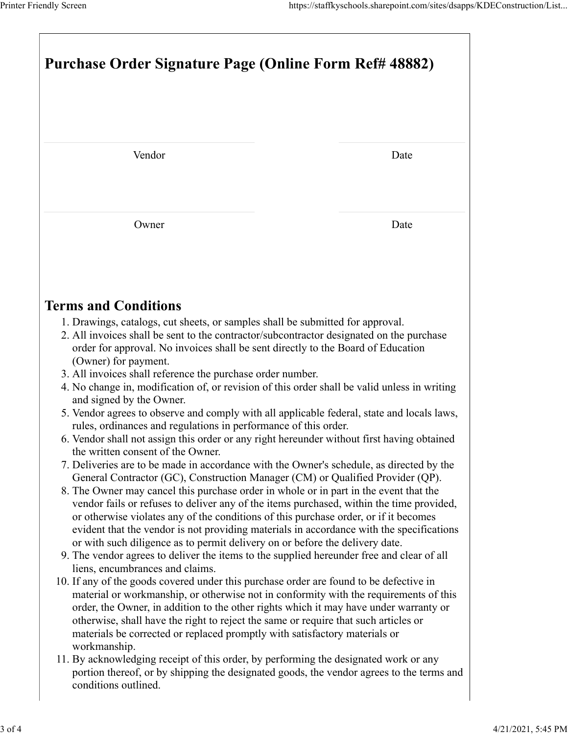| Printer Friendly Screen                                                                                                                                                                                                                                                                                                                                                                                                                                                                            |      |  |  |  |
|----------------------------------------------------------------------------------------------------------------------------------------------------------------------------------------------------------------------------------------------------------------------------------------------------------------------------------------------------------------------------------------------------------------------------------------------------------------------------------------------------|------|--|--|--|
| https://staffkyschools.sharepoint.com/sites/dsapps/KDEConstruction/List<br>Purchase Order Signature Page (Online Form Ref# 48882)                                                                                                                                                                                                                                                                                                                                                                  |      |  |  |  |
|                                                                                                                                                                                                                                                                                                                                                                                                                                                                                                    |      |  |  |  |
| Vendor                                                                                                                                                                                                                                                                                                                                                                                                                                                                                             | Date |  |  |  |
| Owner                                                                                                                                                                                                                                                                                                                                                                                                                                                                                              | Date |  |  |  |
| <b>Terms and Conditions</b>                                                                                                                                                                                                                                                                                                                                                                                                                                                                        |      |  |  |  |
| 1. Drawings, catalogs, cut sheets, or samples shall be submitted for approval.<br>2. All invoices shall be sent to the contractor/subcontractor designated on the purchase<br>order for approval. No invoices shall be sent directly to the Board of Education<br>(Owner) for payment.<br>3. All invoices shall reference the purchase order number.                                                                                                                                               |      |  |  |  |
| 4. No change in, modification of, or revision of this order shall be valid unless in writing<br>and signed by the Owner.<br>5. Vendor agrees to observe and comply with all applicable federal, state and locals laws,<br>rules, ordinances and regulations in performance of this order.                                                                                                                                                                                                          |      |  |  |  |
| 6. Vendor shall not assign this order or any right hereunder without first having obtained<br>the written consent of the Owner.<br>7. Deliveries are to be made in accordance with the Owner's schedule, as directed by the<br>General Contractor (GC), Construction Manager (CM) or Qualified Provider (QP).<br>8. The Owner may cancel this purchase order in whole or in part in the event that the<br>vendor fails or refuses to deliver any of the items purchased, within the time provided, |      |  |  |  |
| or otherwise violates any of the conditions of this purchase order, or if it becomes<br>evident that the vendor is not providing materials in accordance with the specifications<br>or with such diligence as to permit delivery on or before the delivery date.<br>9. The vendor agrees to deliver the items to the supplied hereunder free and clear of all<br>liens, encumbrances and claims.                                                                                                   |      |  |  |  |
| 10. If any of the goods covered under this purchase order are found to be defective in<br>material or workmanship, or otherwise not in conformity with the requirements of this<br>order, the Owner, in addition to the other rights which it may have under warranty or<br>otherwise, shall have the right to reject the same or require that such articles or<br>materials be corrected or replaced promptly with satisfactory materials or                                                      |      |  |  |  |
| workmanship.<br>11. By acknowledging receipt of this order, by performing the designated work or any<br>portion thereof, or by shipping the designated goods, the vendor agrees to the terms and<br>conditions outlined.                                                                                                                                                                                                                                                                           |      |  |  |  |